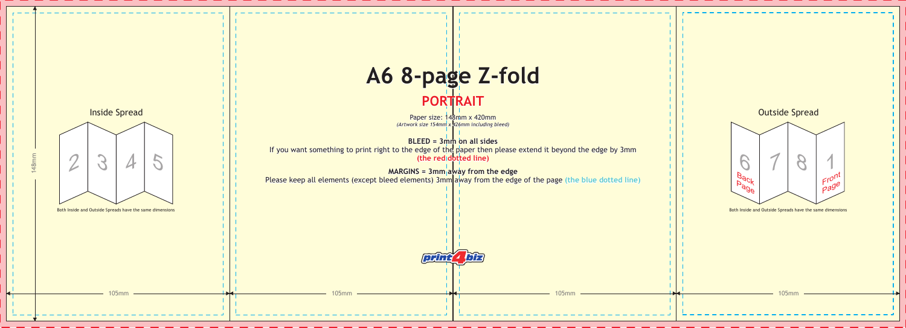